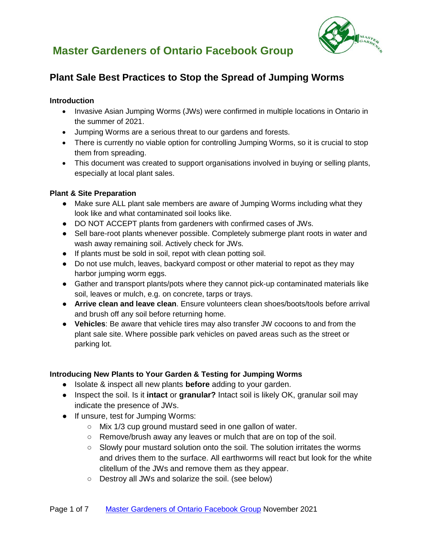

### **Plant Sale Best Practices to Stop the Spread of Jumping Worms**

#### **Introduction**

- Invasive Asian Jumping Worms (JWs) were confirmed in multiple locations in Ontario in the summer of 2021.
- Jumping Worms are a serious threat to our gardens and forests.
- There is currently no viable option for controlling Jumping Worms, so it is crucial to stop them from spreading.
- This document was created to support organisations involved in buying or selling plants, especially at local plant sales.

#### **Plant & Site Preparation**

- Make sure ALL plant sale members are aware of Jumping Worms including what they look like and what contaminated soil looks like.
- DO NOT ACCEPT plants from gardeners with confirmed cases of JWs.
- Sell bare-root plants whenever possible. Completely submerge plant roots in water and wash away remaining soil. Actively check for JWs.
- If plants must be sold in soil, repot with clean potting soil.
- Do not use mulch, leaves, backyard compost or other material to repot as they may harbor jumping worm eggs.
- Gather and transport plants/pots where they cannot pick-up contaminated materials like soil, leaves or mulch, e.g. on concrete, tarps or trays.
- **Arrive clean and leave clean**. Ensure volunteers clean shoes/boots/tools before arrival and brush off any soil before returning home.
- **Vehicles**: Be aware that vehicle tires may also transfer JW cocoons to and from the plant sale site. Where possible park vehicles on paved areas such as the street or parking lot.

#### **Introducing New Plants to Your Garden & Testing for Jumping Worms**

- Isolate & inspect all new plants **before** adding to your garden.
- Inspect the soil. Is it **intact** or **granular?** Intact soil is likely OK, granular soil may indicate the presence of JWs.
- If unsure, test for Jumping Worms:
	- Mix 1/3 cup ground mustard seed in one gallon of water.
	- Remove/brush away any leaves or mulch that are on top of the soil.
	- Slowly pour mustard solution onto the soil. The solution irritates the worms and drives them to the surface. All earthworms will react but look for the white clitellum of the JWs and remove them as they appear.
	- Destroy all JWs and solarize the soil. (see below)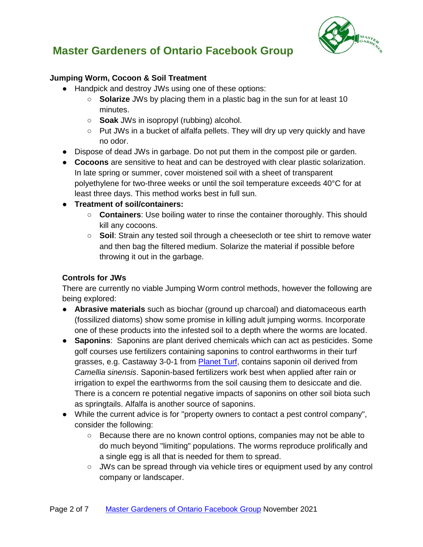

### **Jumping Worm, Cocoon & Soil Treatment**

- Handpick and destroy JWs using one of these options:
	- **Solarize** JWs by placing them in a plastic bag in the sun for at least 10 minutes.
	- **Soak** JWs in isopropyl (rubbing) alcohol.
	- $\circ$  Put JWs in a bucket of alfalfa pellets. They will dry up very quickly and have no odor.
- Dispose of dead JWs in garbage. Do not put them in the compost pile or garden.
- **Cocoons** are sensitive to heat and can be destroyed with clear plastic solarization. In late spring or summer, cover moistened soil with a sheet of transparent polyethylene for two-three weeks or until the soil temperature exceeds 40°C for at least three days. This method works best in full sun.
- **Treatment of soil/containers:**
	- **Containers**: Use boiling water to rinse the container thoroughly. This should kill any cocoons.
	- **Soil**: Strain any tested soil through a cheesecloth or tee shirt to remove water and then bag the filtered medium. Solarize the material if possible before throwing it out in the garbage.

### **Controls for JWs**

There are currently no viable Jumping Worm control methods, however the following are being explored:

- **Abrasive materials** such as biochar (ground up charcoal) and diatomaceous earth (fossilized diatoms) show some promise in killing adult jumping worms. Incorporate one of these products into the infested soil to a depth where the worms are located.
- **Saponins**: Saponins are plant derived chemicals which can act as pesticides. Some golf courses use fertilizers containing saponins to control earthworms in their turf grasses, e.g. Castaway 3-0-1 from Planet Turf, contains saponin oil derived from *Camellia sinensis*. Saponin-based fertilizers work best when applied after rain or irrigation to expel the earthworms from the soil causing them to desiccate and die. There is a concern re potential negative impacts of saponins on other soil biota such as springtails. Alfalfa is another source of saponins.
- While the current advice is for "property owners to contact a pest control company", consider the following:
	- Because there are no known control options, companies may not be able to do much beyond "limiting" populations. The worms reproduce prolifically and a single egg is all that is needed for them to spread.
	- JWs can be spread through via vehicle tires or equipment used by any control company or landscaper.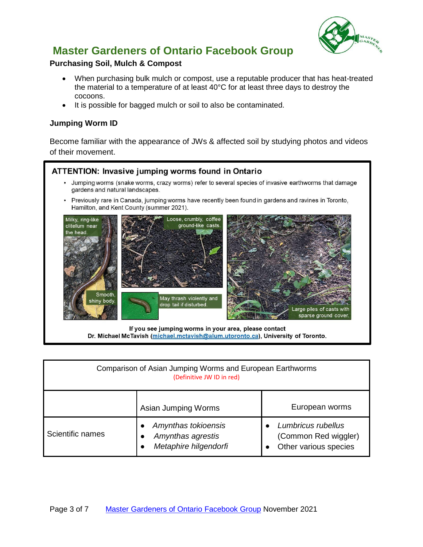

#### **Purchasing Soil, Mulch & Compost**

- When purchasing bulk mulch or compost, use a reputable producer that has heat-treated the material to a temperature of at least 40°C for at least three days to destroy the cocoons.
- It is possible for bagged mulch or soil to also be contaminated.

#### **Jumping Worm ID**

Become familiar with the appearance of JWs & affected soil by studying photos and videos of their movement.

#### **ATTENTION: Invasive jumping worms found in Ontario**

- Jumping worms (snake worms, crazy worms) refer to several species of invasive earthworms that damage gardens and natural landscapes.
- Previously rare in Canada, jumping worms have recently been found in gardens and ravines in Toronto, Hamilton, and Kent County (summer 2021).



If you see jumping worms in your area, please contact Dr. Michael McTavish (michael.mctavish@alum.utoronto.ca), University of Toronto.

| Comparison of Asian Jumping Worms and European Earthworms<br>(Definitive JW ID in red) |                                                                   |                                                                     |
|----------------------------------------------------------------------------------------|-------------------------------------------------------------------|---------------------------------------------------------------------|
|                                                                                        | Asian Jumping Worms                                               | European worms                                                      |
| Scientific names                                                                       | Amynthas tokioensis<br>Amynthas agrestis<br>Metaphire hilgendorfi | Lumbricus rubellus<br>(Common Red wiggler)<br>Other various species |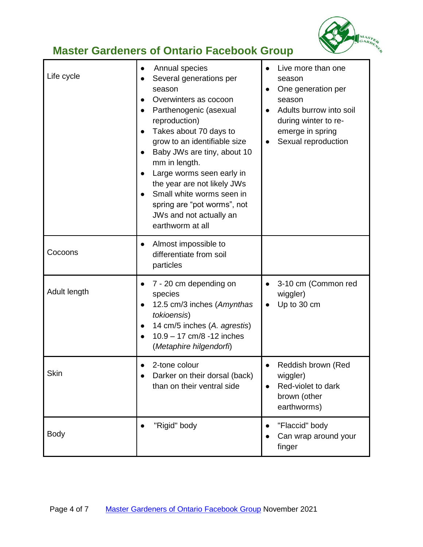

| Life cycle   | Annual species<br>Several generations per<br>season<br>Overwinters as cocoon<br>Parthenogenic (asexual<br>reproduction)<br>Takes about 70 days to<br>grow to an identifiable size<br>Baby JWs are tiny, about 10<br>mm in length.<br>Large worms seen early in<br>the year are not likely JWs<br>Small white worms seen in<br>spring are "pot worms", not<br>JWs and not actually an<br>earthworm at all | Live more than one<br>season<br>One generation per<br>$\bullet$<br>season<br>Adults burrow into soil<br>during winter to re-<br>emerge in spring<br>Sexual reproduction |
|--------------|----------------------------------------------------------------------------------------------------------------------------------------------------------------------------------------------------------------------------------------------------------------------------------------------------------------------------------------------------------------------------------------------------------|-------------------------------------------------------------------------------------------------------------------------------------------------------------------------|
| Cocoons      | Almost impossible to<br>$\bullet$<br>differentiate from soil<br>particles                                                                                                                                                                                                                                                                                                                                |                                                                                                                                                                         |
| Adult length | 7 - 20 cm depending on<br>$\bullet$<br>species<br>12.5 cm/3 inches (Amynthas<br>tokioensis)<br>14 cm/5 inches (A. agrestis)<br>$10.9 - 17$ cm/8 -12 inches<br>(Metaphire hilgendorfi)                                                                                                                                                                                                                    | 3-10 cm (Common red<br>wiggler)<br>Up to 30 cm                                                                                                                          |
| Skin         | 2-tone colour<br>Darker on their dorsal (back)<br>than on their ventral side                                                                                                                                                                                                                                                                                                                             | Reddish brown (Red<br>wiggler)<br>Red-violet to dark<br>brown (other<br>earthworms)                                                                                     |
| <b>Body</b>  | "Rigid" body<br>$\bullet$                                                                                                                                                                                                                                                                                                                                                                                | "Flaccid" body<br>Can wrap around your<br>finger                                                                                                                        |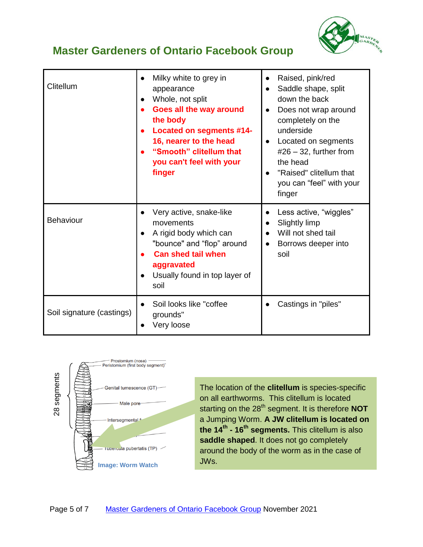

| Clitellum                 | Milky white to grey in<br>appearance<br>Whole, not split<br>Goes all the way around<br>the body<br><b>Located on segments #14-</b><br>16, nearer to the head<br>"Smooth" clitellum that<br>you can't feel with your<br>finger | Raised, pink/red<br>Saddle shape, split<br>down the back<br>Does not wrap around<br>$\bullet$<br>completely on the<br>underside<br>Located on segments<br>$\bullet$<br>$#26 - 32$ , further from<br>the head<br>"Raised" clitellum that<br>$\bullet$<br>you can "feel" with your<br>finger |
|---------------------------|-------------------------------------------------------------------------------------------------------------------------------------------------------------------------------------------------------------------------------|--------------------------------------------------------------------------------------------------------------------------------------------------------------------------------------------------------------------------------------------------------------------------------------------|
| <b>Behaviour</b>          | Very active, snake-like<br>movements<br>A rigid body which can<br>"bounce" and "flop" around<br><b>Can shed tail when</b><br>aggravated<br>Usually found in top layer of<br>soil                                              | Less active, "wiggles"<br><b>Slightly limp</b><br>Will not shed tail<br>Borrows deeper into<br>$\bullet$<br>soil                                                                                                                                                                           |
| Soil signature (castings) | Soil looks like "coffee"<br>grounds"<br>Very loose                                                                                                                                                                            | Castings in "piles"                                                                                                                                                                                                                                                                        |



The location of the **clitellum** is species-specific on all earthworms. This clitellum is located starting on the 28<sup>th</sup> segment. It is therefore **NOT** a Jumping Worm. **A JW clitellum is located on the 14th - 16th segments.** This clitellum is also **saddle shaped**. It does not go completely around the body of the worm as in the case of JWs.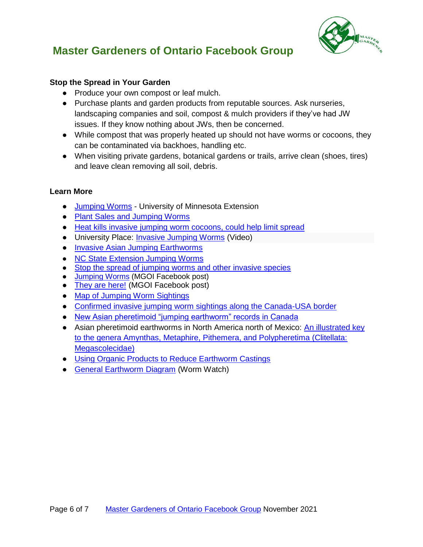

### **Stop the Spread in Your Garden**

- Produce your own compost or leaf mulch.
- Purchase plants and garden products from reputable sources. Ask nurseries, landscaping companies and soil, compost & mulch providers if they've had JW issues. If they know nothing about JWs, then be concerned.
- While compost that was properly heated up should not have worms or cocoons, they can be contaminated via backhoes, handling etc.
- When visiting private gardens, botanical gardens or trails, arrive clean (shoes, tires) and leave clean removing all soil, debris.

#### **Learn More**

- **Jumping Worms University of Minnesota Extension**
- Plant Sales and Jumping Worms
- Heat kills invasive jumping worm cocoons, could help limit spread
- University Place: Invasive Jumping Worms (Video)
- Invasive Asian Jumping Earthworms
- NC State Extension Jumping Worms
- Stop the spread of jumping worms and other invasive species
- Jumping Worms (MGOI Facebook post)
- They are here! (MGOI Facebook post)
- Map of Jumping Worm Sightings
- Confirmed invasive jumping worm sightings along the Canada-USA border
- New Asian pheretimoid "jumping earthworm" records in Canada
- Asian pheretimoid earthworms in North America north of Mexico: An illustrated key to the genera Amynthas, Metaphire, Pithemera, and Polypheretima (Clitellata: Megascolecidae)
- Using Organic Products to Reduce Earthworm Castings
- General Earthworm Diagram (Worm Watch)